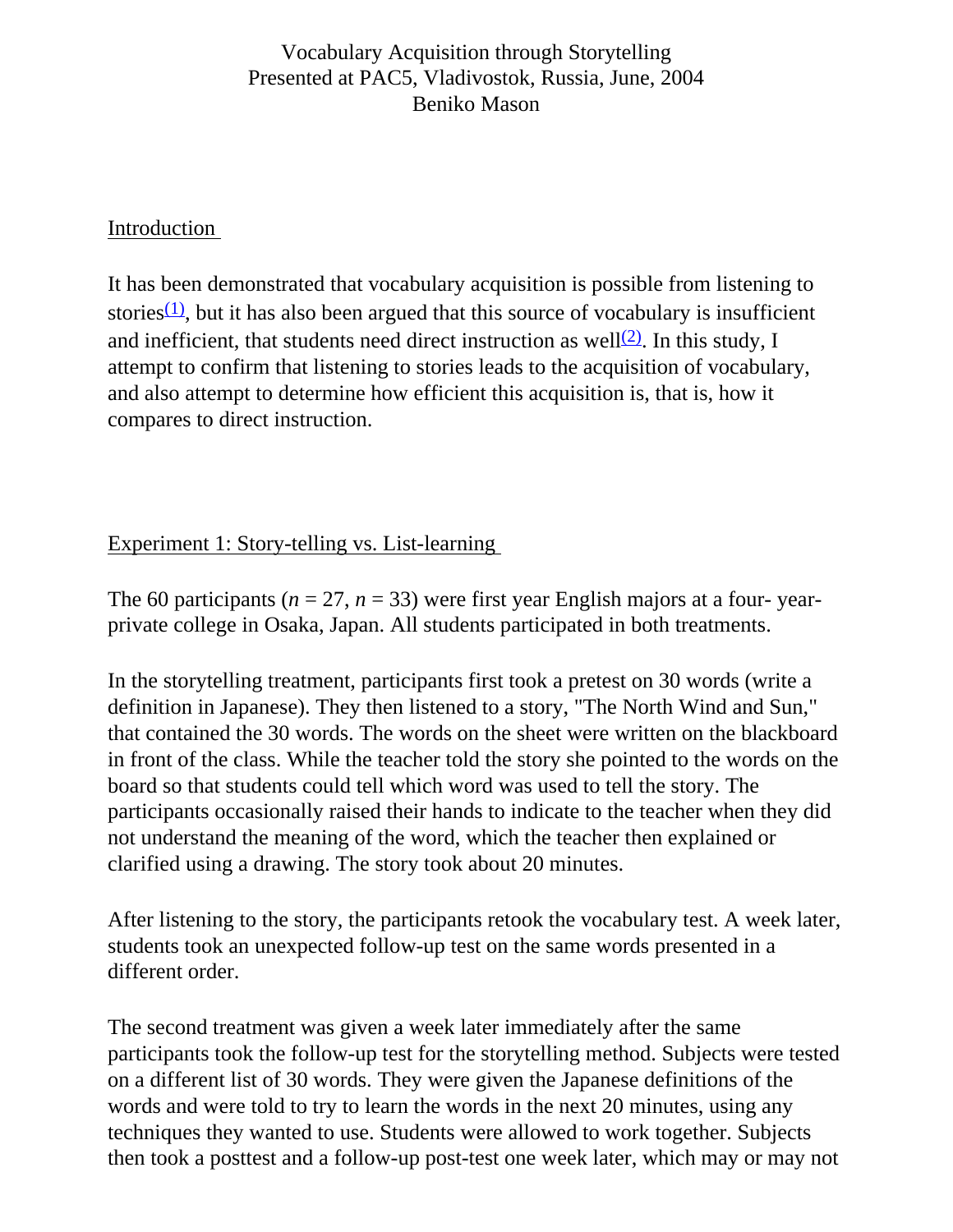## Vocabulary Acquisition through Storytelling Presented at PAC5, Vladivostok, Russia, June, 2004 Beniko Mason

#### Introduction

It has been demonstrated that vocabulary acquisition is possible from listening to stories $(1)$ , but it has also been argued that this source of vocabulary is insufficient and inefficient, that students need direct instruction as well<sup>(2)</sup>. In this study, I attempt to confirm that listening to stories leads to the acquisition of vocabulary, and also attempt to determine how efficient this acquisition is, that is, how it compares to direct instruction.

# Experiment 1: Story-telling vs. List-learning

The 60 participants ( $n = 27$ ,  $n = 33$ ) were first year English majors at a four-yearprivate college in Osaka, Japan. All students participated in both treatments.

In the storytelling treatment, participants first took a pretest on 30 words (write a definition in Japanese). They then listened to a story, "The North Wind and Sun," that contained the 30 words. The words on the sheet were written on the blackboard in front of the class. While the teacher told the story she pointed to the words on the board so that students could tell which word was used to tell the story. The participants occasionally raised their hands to indicate to the teacher when they did not understand the meaning of the word, which the teacher then explained or clarified using a drawing. The story took about 20 minutes.

After listening to the story, the participants retook the vocabulary test. A week later, students took an unexpected follow-up test on the same words presented in a different order.

The second treatment was given a week later immediately after the same participants took the follow-up test for the storytelling method. Subjects were tested on a different list of 30 words. They were given the Japanese definitions of the words and were told to try to learn the words in the next 20 minutes, using any techniques they wanted to use. Students were allowed to work together. Subjects then took a posttest and a follow-up post-test one week later, which may or may not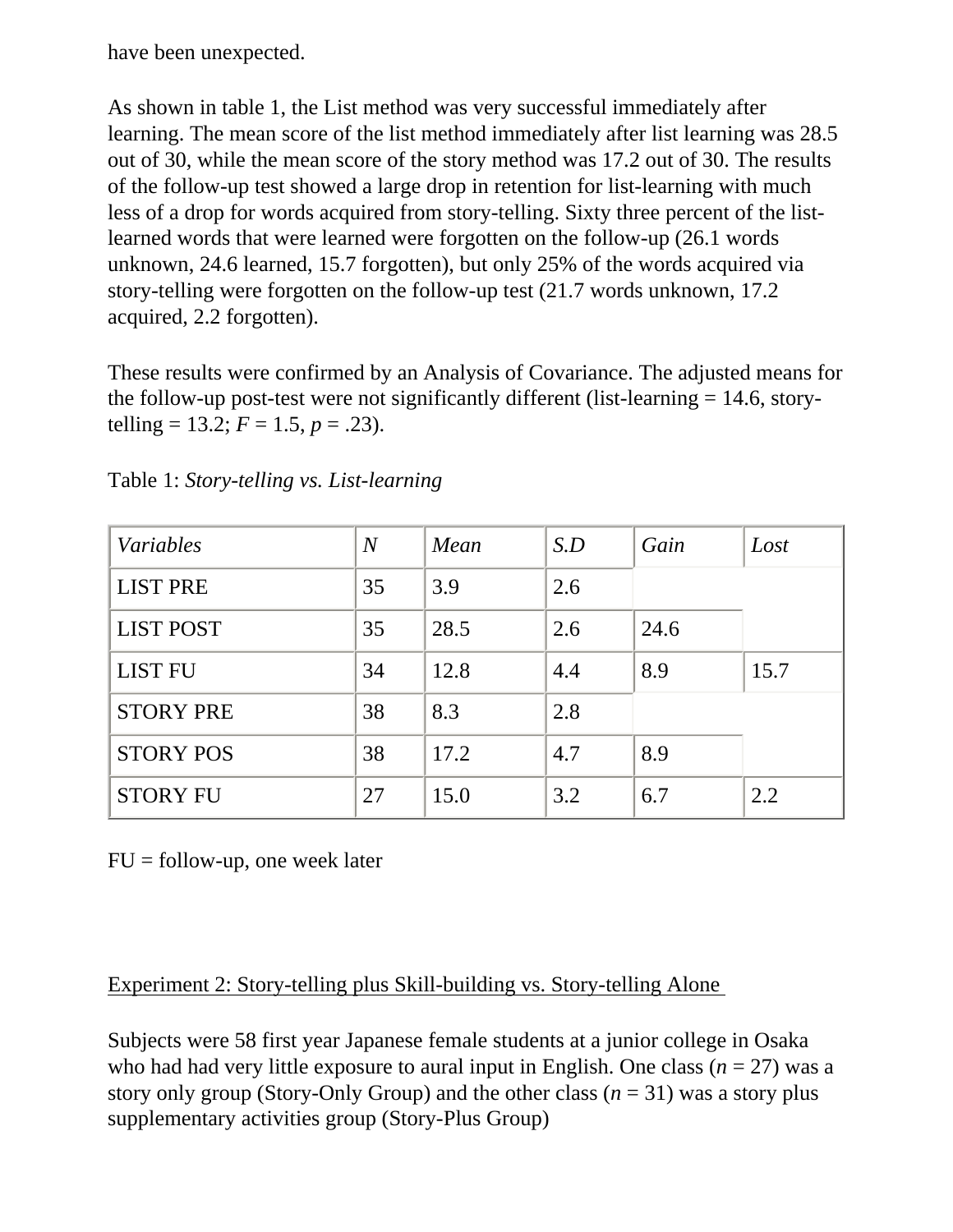have been unexpected.

As shown in table 1, the List method was very successful immediately after learning. The mean score of the list method immediately after list learning was 28.5 out of 30, while the mean score of the story method was 17.2 out of 30. The results of the follow-up test showed a large drop in retention for list-learning with much less of a drop for words acquired from story-telling. Sixty three percent of the listlearned words that were learned were forgotten on the follow-up (26.1 words unknown, 24.6 learned, 15.7 forgotten), but only 25% of the words acquired via story-telling were forgotten on the follow-up test (21.7 words unknown, 17.2 acquired, 2.2 forgotten).

These results were confirmed by an Analysis of Covariance. The adjusted means for the follow-up post-test were not significantly different (list-learning = 14.6, storytelling = 13.2;  $F = 1.5$ ,  $p = .23$ ).

| Variables        | $\overline{N}$ | Mean | S.D | Gain | Lost |
|------------------|----------------|------|-----|------|------|
| <b>LIST PRE</b>  | 35             | 3.9  | 2.6 |      |      |
| <b>LIST POST</b> | 35             | 28.5 | 2.6 | 24.6 |      |
| <b>LIST FU</b>   | 34             | 12.8 | 4.4 | 8.9  | 15.7 |
| <b>STORY PRE</b> | 38             | 8.3  | 2.8 |      |      |
| <b>STORY POS</b> | 38             | 17.2 | 4.7 | 8.9  |      |
| <b>STORY FU</b>  | 27             | 15.0 | 3.2 | 6.7  | 2.2  |

Table 1: *Story-telling vs. List-learning*

 $FU = follow-up$ , one week later

## Experiment 2: Story-telling plus Skill-building vs. Story-telling Alone

Subjects were 58 first year Japanese female students at a junior college in Osaka who had had very little exposure to aural input in English. One class  $(n = 27)$  was a story only group (Story-Only Group) and the other class  $(n = 31)$  was a story plus supplementary activities group (Story-Plus Group)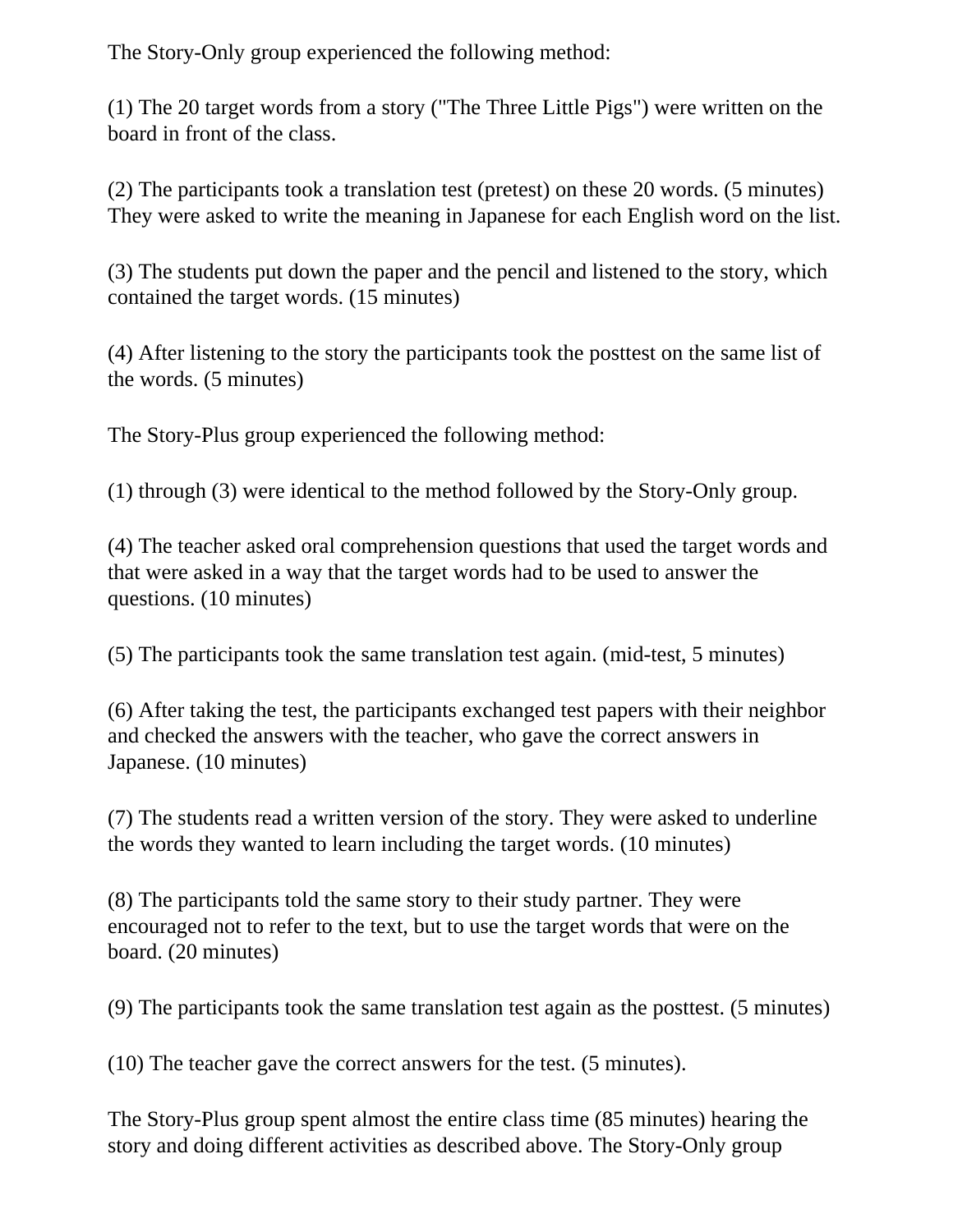The Story-Only group experienced the following method:

(1) The 20 target words from a story ("The Three Little Pigs") were written on the board in front of the class.

(2) The participants took a translation test (pretest) on these 20 words. (5 minutes) They were asked to write the meaning in Japanese for each English word on the list.

(3) The students put down the paper and the pencil and listened to the story, which contained the target words. (15 minutes)

(4) After listening to the story the participants took the posttest on the same list of the words. (5 minutes)

The Story-Plus group experienced the following method:

(1) through (3) were identical to the method followed by the Story-Only group.

(4) The teacher asked oral comprehension questions that used the target words and that were asked in a way that the target words had to be used to answer the questions. (10 minutes)

(5) The participants took the same translation test again. (mid-test, 5 minutes)

(6) After taking the test, the participants exchanged test papers with their neighbor and checked the answers with the teacher, who gave the correct answers in Japanese. (10 minutes)

(7) The students read a written version of the story. They were asked to underline the words they wanted to learn including the target words. (10 minutes)

(8) The participants told the same story to their study partner. They were encouraged not to refer to the text, but to use the target words that were on the board. (20 minutes)

(9) The participants took the same translation test again as the posttest. (5 minutes)

(10) The teacher gave the correct answers for the test. (5 minutes).

The Story-Plus group spent almost the entire class time (85 minutes) hearing the story and doing different activities as described above. The Story-Only group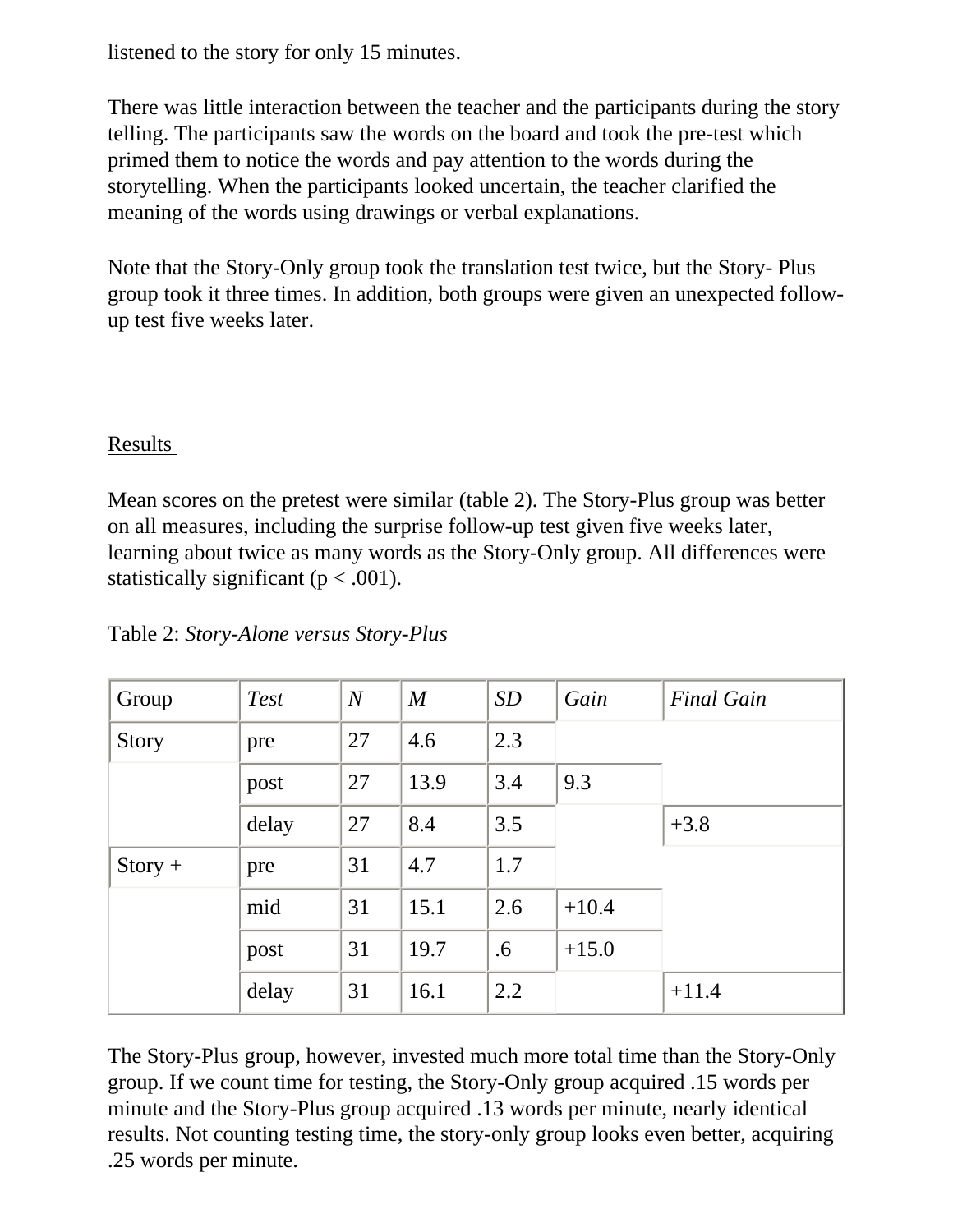listened to the story for only 15 minutes.

There was little interaction between the teacher and the participants during the story telling. The participants saw the words on the board and took the pre-test which primed them to notice the words and pay attention to the words during the storytelling. When the participants looked uncertain, the teacher clarified the meaning of the words using drawings or verbal explanations.

Note that the Story-Only group took the translation test twice, but the Story- Plus group took it three times. In addition, both groups were given an unexpected followup test five weeks later.

#### Results

Mean scores on the pretest were similar (table 2). The Story-Plus group was better on all measures, including the surprise follow-up test given five weeks later, learning about twice as many words as the Story-Only group. All differences were statistically significant ( $p < .001$ ).

| Group     | <b>Test</b> | $\boldsymbol{N}$ | $\boldsymbol{M}$ | SD  | Gain    | <b>Final Gain</b> |
|-----------|-------------|------------------|------------------|-----|---------|-------------------|
| Story     | pre         | 27               | 4.6              | 2.3 |         |                   |
|           | post        | 27               | 13.9             | 3.4 | 9.3     |                   |
|           | delay       | 27               | 8.4              | 3.5 |         | $+3.8$            |
| $Story +$ | pre         | 31               | 4.7              | 1.7 |         |                   |
|           | mid         | 31               | 15.1             | 2.6 | $+10.4$ |                   |
|           | post        | 31               | 19.7             | .6  | $+15.0$ |                   |
|           | delay       | 31               | 16.1             | 2.2 |         | $+11.4$           |

Table 2: *Story-Alone versus Story-Plus*

The Story-Plus group, however, invested much more total time than the Story-Only group. If we count time for testing, the Story-Only group acquired .15 words per minute and the Story-Plus group acquired .13 words per minute, nearly identical results. Not counting testing time, the story-only group looks even better, acquiring .25 words per minute.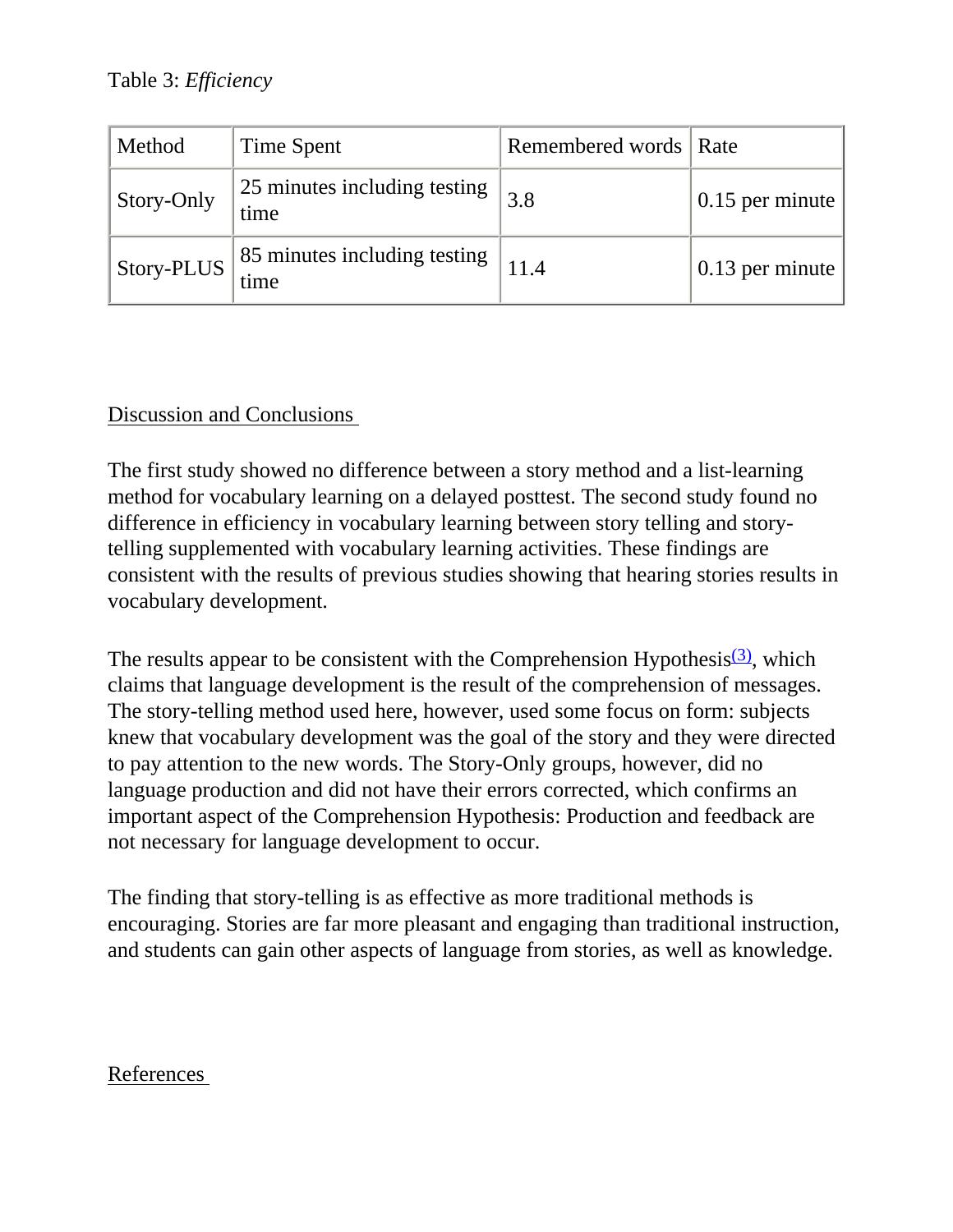Table 3: *Efficiency*

| Method     | Time Spent                           | Remembered words   Rate |                         |
|------------|--------------------------------------|-------------------------|-------------------------|
| Story-Only | 25 minutes including testing<br>time | 3.8                     | $\vert 0.15$ per minute |
| Story-PLUS | 85 minutes including testing<br>time |                         | 0.13 per minute         |

## Discussion and Conclusions

The first study showed no difference between a story method and a list-learning method for vocabulary learning on a delayed posttest. The second study found no difference in efficiency in vocabulary learning between story telling and storytelling supplemented with vocabulary learning activities. These findings are consistent with the results of previous studies showing that hearing stories results in vocabulary development.

The results appear to be consistent with the Comprehension Hypothesis $(3)$ , which claims that language development is the result of the comprehension of messages. The story-telling method used here, however, used some focus on form: subjects knew that vocabulary development was the goal of the story and they were directed to pay attention to the new words. The Story-Only groups, however, did no language production and did not have their errors corrected, which confirms an important aspect of the Comprehension Hypothesis: Production and feedback are not necessary for language development to occur.

The finding that story-telling is as effective as more traditional methods is encouraging. Stories are far more pleasant and engaging than traditional instruction, and students can gain other aspects of language from stories, as well as knowledge.

#### <span id="page-4-0"></span>References